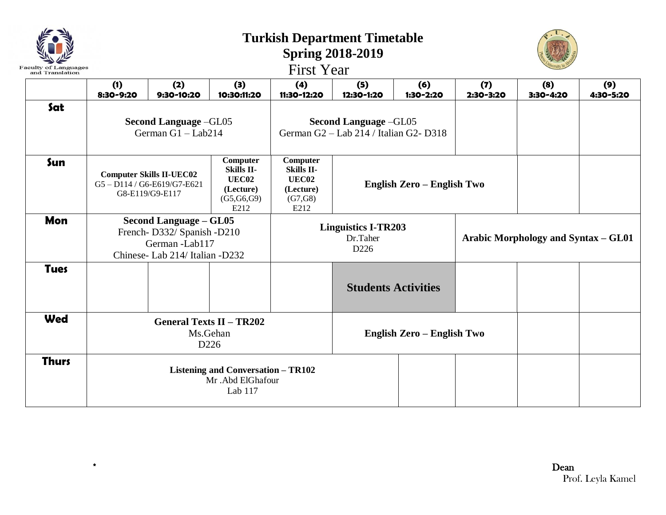| and Translation |                                                                                                                                                              |                                                                                                                  |                                                                           |                                                                        |                            |                            |                  |                                            |                  |  |
|-----------------|--------------------------------------------------------------------------------------------------------------------------------------------------------------|------------------------------------------------------------------------------------------------------------------|---------------------------------------------------------------------------|------------------------------------------------------------------------|----------------------------|----------------------------|------------------|--------------------------------------------|------------------|--|
|                 | (1)<br>8:30-9:20                                                                                                                                             | (2)<br>9:30-10:20                                                                                                | (3)<br>10:30:11:20                                                        | (4)<br>11:30-12:20                                                     | (5)<br>12:30-1:20          | (6)<br>1:30-2:20           | (7)<br>2:30-3:20 | (8)<br>3:30-4:20                           | (9)<br>4:30-5:20 |  |
| Sat             | Second Language -GL05<br>German $G1 - Lab214$                                                                                                                |                                                                                                                  |                                                                           | <b>Second Language -GL05</b><br>German G2 - Lab 214 / Italian G2-D318  |                            |                            |                  |                                            |                  |  |
| Sun             | Computer<br>Skills II-<br><b>Computer Skills II-UEC02</b><br><b>UEC02</b><br>G5-D114/G6-E619/G7-E621<br>(Lecture)<br>G8-E119/G9-E117<br>(G5, G6, G9)<br>E212 |                                                                                                                  |                                                                           | Computer<br><b>Skills II-</b><br>UEC02<br>(Lecture)<br>(G7,G8)<br>E212 | English Zero - English Two |                            |                  |                                            |                  |  |
| <b>Mon</b>      |                                                                                                                                                              | <b>Second Language - GL05</b><br>French-D332/ Spanish -D210<br>German -Lab117<br>Chinese- Lab 214/ Italian -D232 |                                                                           | <b>Linguistics I-TR203</b><br>Dr.Taher<br>D226                         |                            |                            |                  | <b>Arabic Morphology and Syntax – GL01</b> |                  |  |
| <b>Tues</b>     |                                                                                                                                                              |                                                                                                                  |                                                                           |                                                                        |                            | <b>Students Activities</b> |                  |                                            |                  |  |
| Wed             |                                                                                                                                                              |                                                                                                                  | <b>General Texts II - TR202</b><br>Ms.Gehan<br>D226                       |                                                                        |                            | English Zero - English Two |                  |                                            |                  |  |
| <b>Thurs</b>    |                                                                                                                                                              |                                                                                                                  | <b>Listening and Conversation - TR102</b><br>Mr .Abd ElGhafour<br>Lab 117 |                                                                        |                            |                            |                  |                                            |                  |  |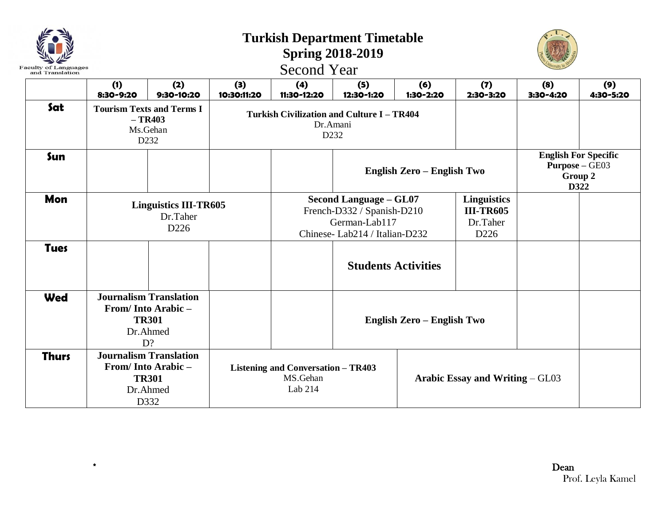| Faculty of Languages<br>and Translation |                                                                                        |                                                                  |                    | <b>Second Year</b>                                               | <b>Turkish Department Timetable</b><br><b>Spring 2018-2019</b>                                                |                            |                                                                         |                  |                  |  |
|-----------------------------------------|----------------------------------------------------------------------------------------|------------------------------------------------------------------|--------------------|------------------------------------------------------------------|---------------------------------------------------------------------------------------------------------------|----------------------------|-------------------------------------------------------------------------|------------------|------------------|--|
|                                         | (1)<br>8:30-9:20                                                                       | (2)<br>9:30-10:20                                                | (3)<br>10:30:11:20 | (4)<br>11:30-12:20                                               | (5)<br>12:30-1:20                                                                                             | (6)<br>1:30-2:20           | (7)<br>2:30-3:20                                                        | (8)<br>3:30-4:20 | (9)<br>4:30-5:20 |  |
| Sat                                     |                                                                                        | <b>Tourism Texts and Terms I</b><br>$-TR403$<br>Ms.Gehan<br>D232 |                    |                                                                  | <b>Turkish Civilization and Culture I - TR404</b><br>Dr.Amani<br>D232                                         |                            |                                                                         |                  |                  |  |
| Sun                                     |                                                                                        |                                                                  |                    |                                                                  |                                                                                                               | English Zero - English Two | <b>English For Specific</b><br><b>Purpose - GE03</b><br>Group 2<br>D322 |                  |                  |  |
| Mon                                     |                                                                                        | <b>Linguistics III-TR605</b><br>Dr.Taher<br>D <sub>226</sub>     |                    |                                                                  | <b>Second Language - GL07</b><br>French-D332 / Spanish-D210<br>German-Lab117<br>Chinese-Lab214 / Italian-D232 |                            |                                                                         |                  |                  |  |
| <b>Tues</b>                             |                                                                                        |                                                                  |                    |                                                                  | <b>Students Activities</b>                                                                                    |                            |                                                                         |                  |                  |  |
| <b>Wed</b>                              | <b>Journalism Translation</b><br>From/Into Arabic-<br><b>TR301</b><br>Dr.Ahmed<br>D?   |                                                                  |                    |                                                                  | English Zero - English Two                                                                                    |                            |                                                                         |                  |                  |  |
| <b>Thurs</b>                            | <b>Journalism Translation</b><br>From/Into Arabic-<br><b>TR301</b><br>Dr.Ahmed<br>D332 |                                                                  |                    | <b>Listening and Conversation - TR403</b><br>MS.Gehan<br>Lab 214 |                                                                                                               |                            | <b>Arabic Essay and Writing – GL03</b>                                  |                  |                  |  |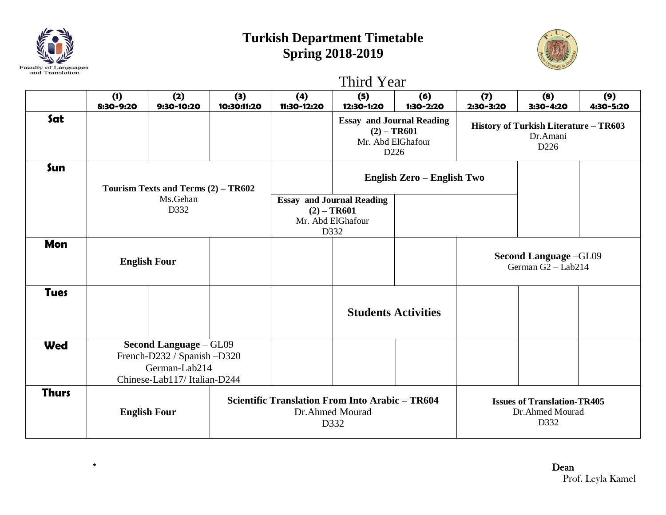

## **Turkish Department Timetable Spring 2018-2019**



|              |                     |                                                                                                              | Third Year         |                                                                                |                                                                                   |                                                                                            |                  |                                                               |                                                    |  |
|--------------|---------------------|--------------------------------------------------------------------------------------------------------------|--------------------|--------------------------------------------------------------------------------|-----------------------------------------------------------------------------------|--------------------------------------------------------------------------------------------|------------------|---------------------------------------------------------------|----------------------------------------------------|--|
|              | (1)<br>8:30-9:20    | (2)<br>9:30-10:20                                                                                            | (3)<br>10:30:11:20 | (4)<br>11:30-12:20                                                             | (5)<br>12:30-1:20                                                                 | (6)<br>1:30-2:20                                                                           | (7)<br>2:30-3:20 | (8)<br>3:30-4:20                                              | (9)<br>4:30-5:20                                   |  |
| Sat          |                     |                                                                                                              |                    |                                                                                |                                                                                   | <b>Essay and Journal Reading</b><br>$(2) - TR601$<br>Mr. Abd ElGhafour<br>D <sub>226</sub> |                  | History of Turkish Literature - TR603                         |                                                    |  |
| Sun          |                     | Tourism Texts and Terms $(2)$ – TR602                                                                        |                    |                                                                                |                                                                                   | English Zero - English Two                                                                 |                  |                                                               |                                                    |  |
|              | Ms.Gehan<br>D332    |                                                                                                              |                    | <b>Essay and Journal Reading</b><br>$(2) - TR601$<br>Mr. Abd ElGhafour<br>D332 |                                                                                   |                                                                                            |                  |                                                               |                                                    |  |
| Mon          | <b>English Four</b> |                                                                                                              |                    |                                                                                |                                                                                   |                                                                                            |                  |                                                               | <b>Second Language -GL09</b><br>German G2 - Lab214 |  |
| <b>Tues</b>  |                     |                                                                                                              |                    |                                                                                |                                                                                   | <b>Students Activities</b>                                                                 |                  |                                                               |                                                    |  |
| <b>Wed</b>   |                     | <b>Second Language - GL09</b><br>French-D232 / Spanish -D320<br>German-Lab214<br>Chinese-Lab117/Italian-D244 |                    |                                                                                |                                                                                   |                                                                                            |                  |                                                               |                                                    |  |
| <b>Thurs</b> | <b>English Four</b> |                                                                                                              |                    |                                                                                | <b>Scientific Translation From Into Arabic - TR604</b><br>Dr.Ahmed Mourad<br>D332 |                                                                                            |                  | <b>Issues of Translation-TR405</b><br>Dr.Ahmed Mourad<br>D332 |                                                    |  |